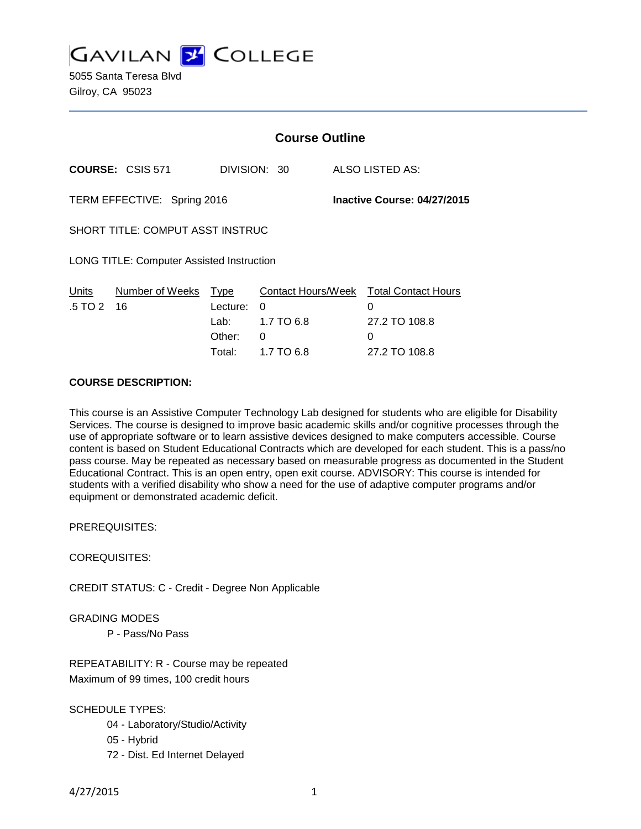

5055 Santa Teresa Blvd Gilroy, CA 95023

|                                                  |                         | <b>Course Outline</b>                  |               |                                  |                             |                                                       |
|--------------------------------------------------|-------------------------|----------------------------------------|---------------|----------------------------------|-----------------------------|-------------------------------------------------------|
|                                                  | <b>COURSE: CSIS 571</b> | DIVISION: 30                           |               |                                  |                             | ALSO LISTED AS:                                       |
| TERM EFFECTIVE: Spring 2016                      |                         |                                        |               |                                  | Inactive Course: 04/27/2015 |                                                       |
| SHORT TITLE: COMPUT ASST INSTRUC                 |                         |                                        |               |                                  |                             |                                                       |
| <b>LONG TITLE: Computer Assisted Instruction</b> |                         |                                        |               |                                  |                             |                                                       |
| Units<br>.5 TO 2                                 | Number of Weeks<br>16   | Type<br>Lecture:<br>Lab: Lab<br>Other: | $\Omega$<br>0 | Contact Hours/Week<br>1.7 TO 6.8 |                             | <b>Total Contact Hours</b><br>0<br>27.2 TO 108.8<br>0 |

### **COURSE DESCRIPTION:**

This course is an Assistive Computer Technology Lab designed for students who are eligible for Disability Services. The course is designed to improve basic academic skills and/or cognitive processes through the use of appropriate software or to learn assistive devices designed to make computers accessible. Course content is based on Student Educational Contracts which are developed for each student. This is a pass/no pass course. May be repeated as necessary based on measurable progress as documented in the Student Educational Contract. This is an open entry, open exit course. ADVISORY: This course is intended for students with a verified disability who show a need for the use of adaptive computer programs and/or equipment or demonstrated academic deficit.

Total: 1.7 TO 6.8 27.2 TO 108.8

PREREQUISITES:

COREQUISITES:

CREDIT STATUS: C - Credit - Degree Non Applicable

GRADING MODES

P - Pass/No Pass

REPEATABILITY: R - Course may be repeated Maximum of 99 times, 100 credit hours

SCHEDULE TYPES:

- 04 Laboratory/Studio/Activity
- 05 Hybrid
- 72 Dist. Ed Internet Delayed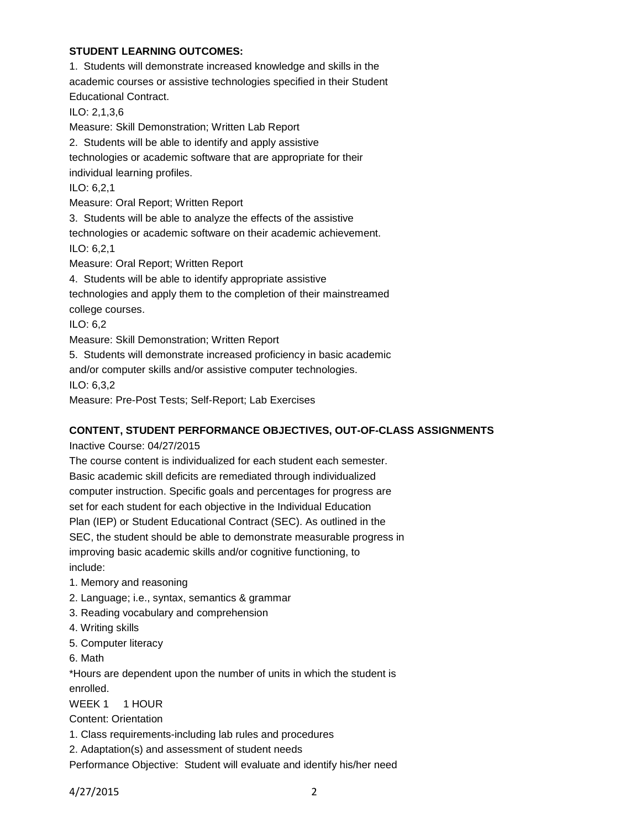## **STUDENT LEARNING OUTCOMES:**

1. Students will demonstrate increased knowledge and skills in the academic courses or assistive technologies specified in their Student Educational Contract. ILO: 2,1,3,6 Measure: Skill Demonstration; Written Lab Report 2. Students will be able to identify and apply assistive technologies or academic software that are appropriate for their individual learning profiles. ILO: 6,2,1 Measure: Oral Report; Written Report 3. Students will be able to analyze the effects of the assistive technologies or academic software on their academic achievement. ILO: 6,2,1 Measure: Oral Report; Written Report 4. Students will be able to identify appropriate assistive technologies and apply them to the completion of their mainstreamed college courses. ILO: 6,2 Measure: Skill Demonstration; Written Report 5. Students will demonstrate increased proficiency in basic academic and/or computer skills and/or assistive computer technologies. ILO: 6,3,2 Measure: Pre-Post Tests; Self-Report; Lab Exercises

# **CONTENT, STUDENT PERFORMANCE OBJECTIVES, OUT-OF-CLASS ASSIGNMENTS**

Inactive Course: 04/27/2015

The course content is individualized for each student each semester. Basic academic skill deficits are remediated through individualized computer instruction. Specific goals and percentages for progress are set for each student for each objective in the Individual Education Plan (IEP) or Student Educational Contract (SEC). As outlined in the SEC, the student should be able to demonstrate measurable progress in improving basic academic skills and/or cognitive functioning, to include:

- 1. Memory and reasoning
- 2. Language; i.e., syntax, semantics & grammar
- 3. Reading vocabulary and comprehension
- 4. Writing skills
- 5. Computer literacy
- 6. Math

\*Hours are dependent upon the number of units in which the student is enrolled.

WEEK 1 1 HOUR

Content: Orientation

- 1. Class requirements-including lab rules and procedures
- 2. Adaptation(s) and assessment of student needs

Performance Objective: Student will evaluate and identify his/her need

4/27/2015 2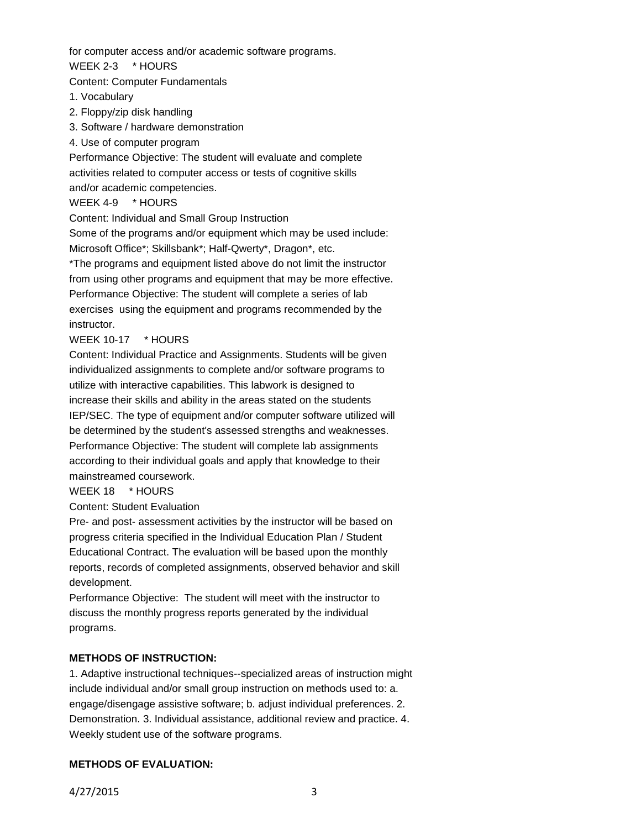for computer access and/or academic software programs.

WEEK 2-3 \* HOURS

Content: Computer Fundamentals

- 1. Vocabulary
- 2. Floppy/zip disk handling
- 3. Software / hardware demonstration
- 4. Use of computer program

Performance Objective: The student will evaluate and complete activities related to computer access or tests of cognitive skills and/or academic competencies.

WEEK 4-9 \* HOURS

Content: Individual and Small Group Instruction

Some of the programs and/or equipment which may be used include: Microsoft Office\*; Skillsbank\*; Half-Qwerty\*, Dragon\*, etc.

\*The programs and equipment listed above do not limit the instructor from using other programs and equipment that may be more effective. Performance Objective: The student will complete a series of lab exercises using the equipment and programs recommended by the instructor.

# WEEK 10-17 \* HOURS

Content: Individual Practice and Assignments. Students will be given individualized assignments to complete and/or software programs to utilize with interactive capabilities. This labwork is designed to increase their skills and ability in the areas stated on the students IEP/SEC. The type of equipment and/or computer software utilized will be determined by the student's assessed strengths and weaknesses. Performance Objective: The student will complete lab assignments according to their individual goals and apply that knowledge to their mainstreamed coursework.

## WEEK 18 \* HOURS

Content: Student Evaluation

Pre- and post- assessment activities by the instructor will be based on progress criteria specified in the Individual Education Plan / Student Educational Contract. The evaluation will be based upon the monthly reports, records of completed assignments, observed behavior and skill development.

Performance Objective: The student will meet with the instructor to discuss the monthly progress reports generated by the individual programs.

### **METHODS OF INSTRUCTION:**

1. Adaptive instructional techniques--specialized areas of instruction might include individual and/or small group instruction on methods used to: a. engage/disengage assistive software; b. adjust individual preferences. 2. Demonstration. 3. Individual assistance, additional review and practice. 4. Weekly student use of the software programs.

# **METHODS OF EVALUATION:**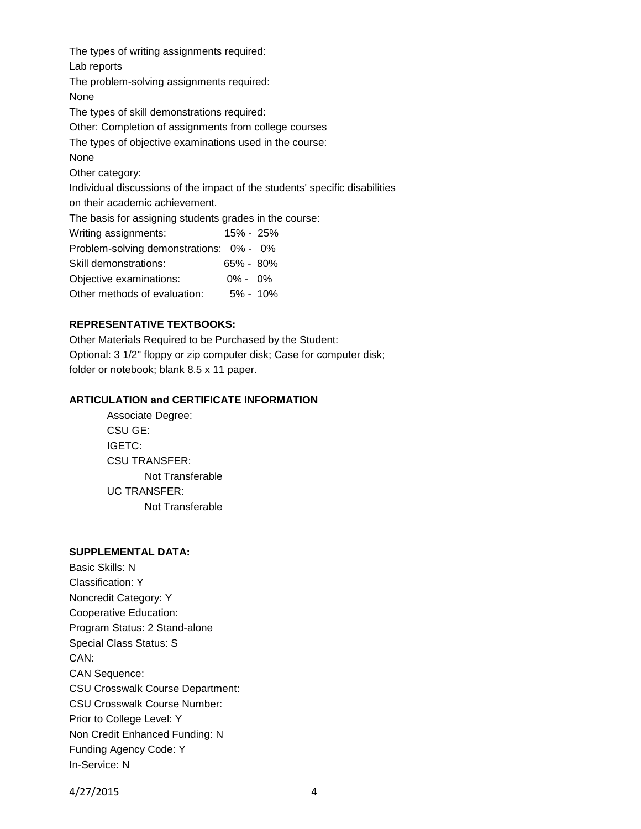The types of writing assignments required: Lab reports The problem-solving assignments required: None The types of skill demonstrations required: Other: Completion of assignments from college courses The types of objective examinations used in the course: None Other category: Individual discussions of the impact of the students' specific disabilities on their academic achievement. The basis for assigning students grades in the course: Writing assignments: 15% - 25% Problem-solving demonstrations: 0% - 0% Skill demonstrations: 65% - 80% Objective examinations: 0% - 0% Other methods of evaluation: 5% - 10%

## **REPRESENTATIVE TEXTBOOKS:**

Other Materials Required to be Purchased by the Student: Optional: 3 1/2" floppy or zip computer disk; Case for computer disk; folder or notebook; blank 8.5 x 11 paper.

### **ARTICULATION and CERTIFICATE INFORMATION**

Associate Degree: CSU GE: IGETC: CSU TRANSFER: Not Transferable UC TRANSFER: Not Transferable

### **SUPPLEMENTAL DATA:**

Basic Skills: N Classification: Y Noncredit Category: Y Cooperative Education: Program Status: 2 Stand-alone Special Class Status: S CAN: CAN Sequence: CSU Crosswalk Course Department: CSU Crosswalk Course Number: Prior to College Level: Y Non Credit Enhanced Funding: N Funding Agency Code: Y In-Service: N